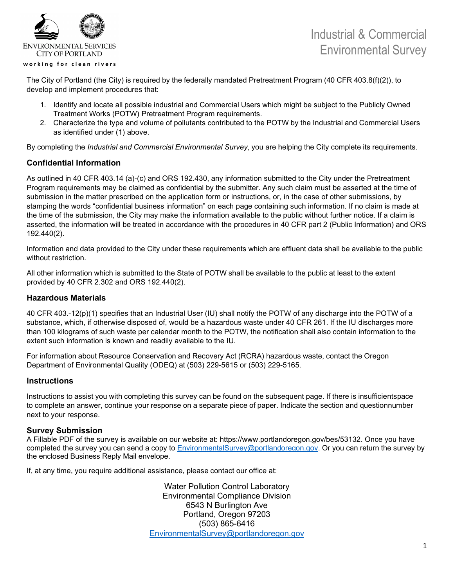

## Industrial & Commercial Environmental Survey

The City of Portland (the City) is required by the federally mandated Pretreatment Program (40 CFR 403.8(f)(2)), to develop and implement procedures that:

- 1. Identify and locate all possible industrial and Commercial Users which might be subject to the Publicly Owned Treatment Works (POTW) Pretreatment Program requirements.
- 2. Characterize the type and volume of pollutants contributed to the POTW by the Industrial and Commercial Users as identified under (1) above.

By completing the *Industrial and Commercial Environmental Survey*, you are helping the City complete its requirements.

## **Confidential Information**

As outlined in 40 CFR 403.14 (a)-(c) and ORS 192.430, any information submitted to the City under the Pretreatment Program requirements may be claimed as confidential by the submitter. Any such claim must be asserted at the time of submission in the matter prescribed on the application form or instructions, or, in the case of other submissions, by stamping the words "confidential business information" on each page containing such information. If no claim is made at the time of the submission, the City may make the information available to the public without further notice. If a claim is asserted, the information will be treated in accordance with the procedures in 40 CFR part 2 (Public Information) and ORS 192.440(2).

Information and data provided to the City under these requirements which are effluent data shall be available to the public without restriction.

All other information which is submitted to the State of POTW shall be available to the public at least to the extent provided by 40 CFR 2.302 and ORS 192.440(2).

## **Hazardous Materials**

40 CFR 403.-12(p)(1) specifies that an Industrial User (IU) shall notify the POTW of any discharge into the POTW of a substance, which, if otherwise disposed of, would be a hazardous waste under 40 CFR 261. If the IU discharges more than 100 kilograms of such waste per calendar month to the POTW, the notification shall also contain information to the extent such information is known and readily available to the IU.

For information about Resource Conservation and Recovery Act (RCRA) hazardous waste, contact the Oregon Department of Environmental Quality (ODEQ) at (503) 229-5615 or (503) 229-5165.

### **Instructions**

Instructions to assist you with completing this survey can be found on the subsequent page. If there is insufficientspace to complete an answer, continue your response on a separate piece of paper. Indicate the section and questionnumber next to your response.

### **Survey Submission**

A Fillable PDF of the survey is available on our website at: https://www.portlandoregon.gov/bes/53132. Once you have completed the survey you can send a copy to [EnvironmentalSurvey@portlandoregon.gov.](mailto:EnvironmentalSurvey@portlandoregon.gov) Or you can return the survey by the enclosed Business Reply Mail envelope.

If, at any time, you require additional assistance, please contact our office at:

Water Pollution Control Laboratory Environmental Compliance Division 6543 N Burlington Ave Portland, Oregon 97203 (503) 865-6416 [EnvironmentalSurvey@portlandoregon.gov](mailto:EnvironmentalSurvey@portlandoregon.gov)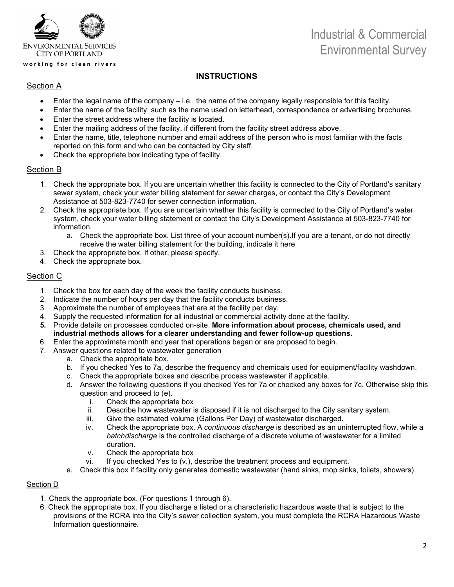

# Industrial & Commercial Environmental Survey

## **INSTRUCTIONS**

## Section A

- Enter the legal name of the company i.e., the name of the company legally responsible for this facility.
- Enter the name of the facility, such as the name used on letterhead, correspondence or advertising brochures.
- Enter the street address where the facility is located.
- Enter the mailing address of the facility, if different from the facility street address above.
- Enter the name, title, telephone number and email address of the person who is most familiar with the facts reported on this form and who can be contacted by City staff.
- Check the appropriate box indicating type of facility.

## Section B

- 1. Check the appropriate box. If you are uncertain whether this facility is connected to the City of Portland's sanitary sewer system, check your water billing statement for sewer charges, or contact the City's Development Assistance at 503-823-7740 for sewer connection information.
- 2. Check the appropriate box. If you are uncertain whether this facility is connected to the City of Portland's water system, check your water billing statement or contact the City's Development Assistance at 503-823-7740 for information.
	- a. Check the appropriate box. List three of your account number(s).If you are a tenant, or do not directly receive the water billing statement for the building, indicate it here
- 3. Check the appropriate box. If other, please specify.
- 4. Check the appropriate box.

## Section C

- 1. Check the box for each day of the week the facility conducts business.
- 2. Indicate the number of hours per day that the facility conducts business.
- 3. Approximate the number of employees that are at the facility per day.
- 4. Supply the requested information for all industrial or commercial activity done at the facility.
- **5.** Provide details on processes conducted on-site. **More information about process, chemicals used, and industrial methods allows for a clearer understanding and fewer follow-up questions.**
- 6. Enter the approximate month and year that operations began or are proposed to begin.
- 7. Answer questions related to wastewater generation
	- a. Check the appropriate box.
	- b. If you checked Yes to 7a, describe the frequency and chemicals used for equipment/facility washdown.
	- c. Check the appropriate boxes and describe process wastewater if applicable.
	- d. Answer the following questions if you checked Yes for 7a or checked any boxes for 7c. Otherwise skip this question and proceed to (e).
		- i. Check the appropriate box
		- ii. Describe how wastewater is disposed if it is not discharged to the City sanitary system.
		- iii. Give the estimated volume (Gallons Per Day) of wastewater discharged.<br>iv. Check the appropriate box. A continuous discharge is described as an un
		- Check the appropriate box. A *continuous discharge* is described as an uninterrupted flow, while a *batchdischarge* is the controlled discharge of a discrete volume of wastewater for a limited duration.
		- v. Check the appropriate box
		- vi. If you checked Yes to (v.), describe the treatment process and equipment.
	- e. Check this box if facility only generates domestic wastewater (hand sinks, mop sinks, toilets, showers).

### Section D

- 1. Check the appropriate box. (For questions 1 through 6).
- 6. Check the appropriate box. If you discharge a listed or a characteristic hazardous waste that is subject to the provisions of the RCRA into the City's sewer collection system, you must complete the RCRA Hazardous Waste Information questionnaire.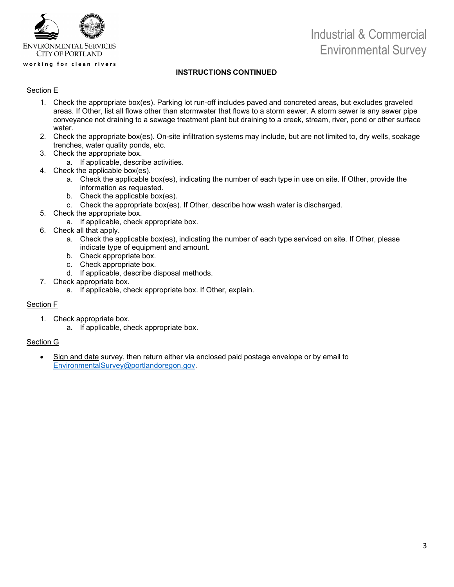

# Industrial & Commercial Environmental Survey

### **INSTRUCTIONS CONTINUED**

#### Section E

- 1. Check the appropriate box(es). Parking lot run-off includes paved and concreted areas, but excludes graveled areas. If Other, list all flows other than stormwater that flows to a storm sewer. A storm sewer is any sewer pipe conveyance not draining to a sewage treatment plant but draining to a creek, stream, river, pond or other surface water.
- 2. Check the appropriate box(es). On-site infiltration systems may include, but are not limited to, dry wells, soakage trenches, water quality ponds, etc.
- 3. Check the appropriate box.
	- a. If applicable, describe activities.
- 4. Check the applicable box(es).
	- a. Check the applicable box(es), indicating the number of each type in use on site. If Other, provide the information as requested.
	- b. Check the applicable box(es).
	- c. Check the appropriate box(es). If Other, describe how wash water is discharged.
- 5. Check the appropriate box.
	- a. If applicable, check appropriate box.
- 6. Check all that apply.
	- a. Check the applicable box(es), indicating the number of each type serviced on site. If Other, please indicate type of equipment and amount.
	- b. Check appropriate box.
	- c. Check appropriate box.
	- d. If applicable, describe disposal methods.
- 7. Check appropriate box.
	- a. If applicable, check appropriate box. If Other, explain.

#### Section F

- 1. Check appropriate box.
	- a. If applicable, check appropriate box.

#### Section G

• Sign and date survey, then return either via enclosed paid postage envelope or by email to [EnvironmentalSurvey@portlandoregon.gov.](mailto:EnvironmentalSurvey@portlandoregon.gov)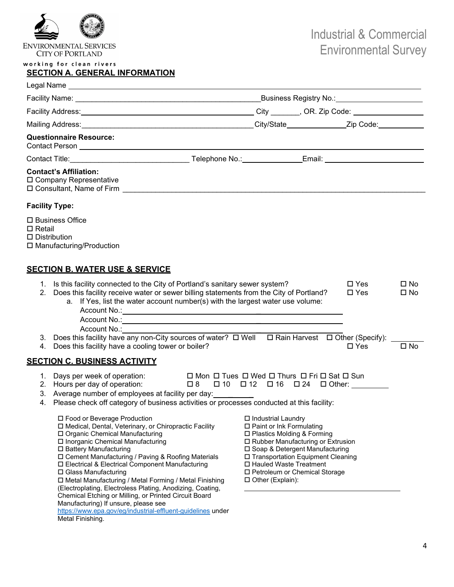

**ENVIRONMENTAL SERVICES CITY OF PORTLAND** 

#### working for clean rivers

## **SECTION A. GENERAL INFORMATION**

| Legal Name _                                                                                                                                                                                                                                                                                                                                                                                                                                                                                                                                                                                                                                                                                                                                      |  |                                                                                                                                                                                                                                                                                                                                                                                                                   |  |                                              |                                      |
|---------------------------------------------------------------------------------------------------------------------------------------------------------------------------------------------------------------------------------------------------------------------------------------------------------------------------------------------------------------------------------------------------------------------------------------------------------------------------------------------------------------------------------------------------------------------------------------------------------------------------------------------------------------------------------------------------------------------------------------------------|--|-------------------------------------------------------------------------------------------------------------------------------------------------------------------------------------------------------------------------------------------------------------------------------------------------------------------------------------------------------------------------------------------------------------------|--|----------------------------------------------|--------------------------------------|
|                                                                                                                                                                                                                                                                                                                                                                                                                                                                                                                                                                                                                                                                                                                                                   |  | _Business Registry No.:________________________                                                                                                                                                                                                                                                                                                                                                                   |  |                                              |                                      |
|                                                                                                                                                                                                                                                                                                                                                                                                                                                                                                                                                                                                                                                                                                                                                   |  |                                                                                                                                                                                                                                                                                                                                                                                                                   |  |                                              |                                      |
|                                                                                                                                                                                                                                                                                                                                                                                                                                                                                                                                                                                                                                                                                                                                                   |  |                                                                                                                                                                                                                                                                                                                                                                                                                   |  |                                              |                                      |
| <b>Questionnaire Resource:</b>                                                                                                                                                                                                                                                                                                                                                                                                                                                                                                                                                                                                                                                                                                                    |  |                                                                                                                                                                                                                                                                                                                                                                                                                   |  |                                              |                                      |
|                                                                                                                                                                                                                                                                                                                                                                                                                                                                                                                                                                                                                                                                                                                                                   |  |                                                                                                                                                                                                                                                                                                                                                                                                                   |  |                                              |                                      |
| <b>Contact's Affiliation:</b><br>□ Company Representative                                                                                                                                                                                                                                                                                                                                                                                                                                                                                                                                                                                                                                                                                         |  |                                                                                                                                                                                                                                                                                                                                                                                                                   |  |                                              |                                      |
| <b>Facility Type:</b>                                                                                                                                                                                                                                                                                                                                                                                                                                                                                                                                                                                                                                                                                                                             |  |                                                                                                                                                                                                                                                                                                                                                                                                                   |  |                                              |                                      |
| □ Business Office<br>$\Box$ Retail<br>$\square$ Distribution<br>□ Manufacturing/Production                                                                                                                                                                                                                                                                                                                                                                                                                                                                                                                                                                                                                                                        |  |                                                                                                                                                                                                                                                                                                                                                                                                                   |  |                                              |                                      |
| <b>SECTION B. WATER USE &amp; SERVICE</b>                                                                                                                                                                                                                                                                                                                                                                                                                                                                                                                                                                                                                                                                                                         |  |                                                                                                                                                                                                                                                                                                                                                                                                                   |  |                                              |                                      |
| 1. Is this facility connected to the City of Portland's sanitary sewer system?<br>Does this facility receive water or sewer billing statements from the City of Portland?<br>2.<br>a. If Yes, list the water account number(s) with the largest water use volume:<br>Account No.:<br>3. Does this facility have any non-City sources of water? $\Box$ Well $\Box$ Rain Harvest $\Box$ Other (Specify):<br>Does this facility have a cooling tower or boiler?<br>4.                                                                                                                                                                                                                                                                                |  |                                                                                                                                                                                                                                                                                                                                                                                                                   |  | $\square$ Yes<br>$\square$ Yes<br>$\Box$ Yes | □ No<br>$\square$ No<br>$\square$ No |
| <b>SECTION C. BUSINESS ACTIVITY</b>                                                                                                                                                                                                                                                                                                                                                                                                                                                                                                                                                                                                                                                                                                               |  |                                                                                                                                                                                                                                                                                                                                                                                                                   |  |                                              |                                      |
| 1. Days per week of operation:<br>2. Hours per day of operation:<br>3. Average number of employees at facility per day:<br>Please check off category of business activities or processes conducted at this facility:<br>4.<br>□ Food or Beverage Production<br>□ Medical, Dental, Veterinary, or Chiropractic Facility<br>□ Organic Chemical Manufacturing<br>□ Inorganic Chemical Manufacturing<br>□ Battery Manufacturing<br>□ Cement Manufacturing / Paving & Roofing Materials<br>□ Electrical & Electrical Component Manufacturing<br>□ Glass Manufacturing<br>□ Metal Manufacturing / Metal Forming / Metal Finishing<br>(Electroplating, Electroless Plating, Anodizing, Coating,<br>Chemical Etching or Milling, or Printed Circuit Board |  | □ Mon □ Tues □ Wed □ Thurs □ Fri □ Sat □ Sun<br>$\Box 8$ $\Box 10$ $\Box 12$ $\Box 16$ $\Box 24$ $\Box 0$ ther:<br>□ Industrial Laundry<br>$\Box$ Paint or Ink Formulating<br>□ Plastics Molding & Forming<br>□ Rubber Manufacturing or Extrusion<br>□ Soap & Detergent Manufacturing<br>□ Transportation Equipment Cleaning<br>□ Hauled Waste Treatment<br>□ Petroleum or Chemical Storage<br>□ Other (Explain): |  |                                              |                                      |

<https://www.epa.gov/eg/industrial-effluent-guidelines> under Metal Finishing.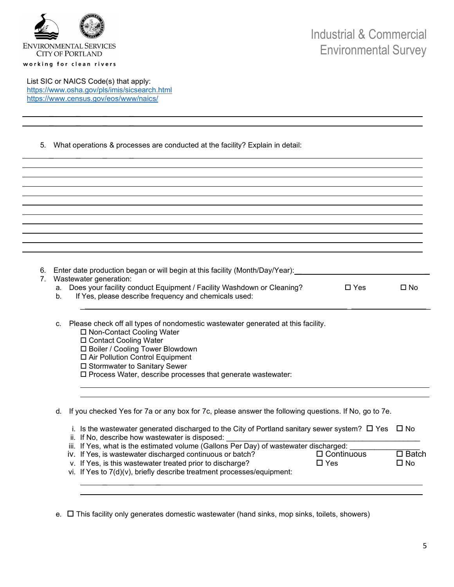

List SIC or NAICS Code(s) that apply: <https://www.osha.gov/pls/imis/sicsearch.html> <https://www.census.gov/eos/www/naics/>

> $\overline{\phantom{a}}$  ,  $\overline{\phantom{a}}$  ,  $\overline{\phantom{a}}$  ,  $\overline{\phantom{a}}$  ,  $\overline{\phantom{a}}$  ,  $\overline{\phantom{a}}$  ,  $\overline{\phantom{a}}$  ,  $\overline{\phantom{a}}$  ,  $\overline{\phantom{a}}$  ,  $\overline{\phantom{a}}$  ,  $\overline{\phantom{a}}$  ,  $\overline{\phantom{a}}$  ,  $\overline{\phantom{a}}$  ,  $\overline{\phantom{a}}$  ,  $\overline{\phantom{a}}$  ,  $\overline{\phantom{a}}$  $\mathcal{L} = \mathcal{L} \times \mathcal{L}$  , where  $\mathcal{L} = \mathcal{L} \times \mathcal{L}$

 $\overline{\phantom{a}}$  ,  $\overline{\phantom{a}}$  ,  $\overline{\phantom{a}}$  ,  $\overline{\phantom{a}}$  ,  $\overline{\phantom{a}}$  ,  $\overline{\phantom{a}}$  ,  $\overline{\phantom{a}}$  ,  $\overline{\phantom{a}}$  ,  $\overline{\phantom{a}}$  ,  $\overline{\phantom{a}}$  ,  $\overline{\phantom{a}}$  ,  $\overline{\phantom{a}}$  ,  $\overline{\phantom{a}}$  ,  $\overline{\phantom{a}}$  ,  $\overline{\phantom{a}}$  ,  $\overline{\phantom{a}}$ 

5. What operations & processes are conducted at the facility? Explain in detail:

| 6.<br>Wastewater generation:<br>а.<br>b. | Enter date production began or will begin at this facility (Month/Day/Year):<br>Does your facility conduct Equipment / Facility Washdown or Cleaning?<br>If Yes, please describe frequency and chemicals used:       | $\Box$ Yes | $\square$ No |
|------------------------------------------|----------------------------------------------------------------------------------------------------------------------------------------------------------------------------------------------------------------------|------------|--------------|
| c.                                       | Please check off all types of nondomestic wastewater generated at this facility.<br>□ Non-Contact Cooling Water<br>□ Contact Cooling Water<br>□ Boiler / Cooling Tower Blowdown<br>□ Air Pollution Control Equipment |            |              |

□ Stormwater to Sanitary Sewer

Process Water, describe processes that generate wastewater:

|  |  | d. If you checked Yes for 7a or any box for 7c, please answer the following questions. If No, go to 7e. |
|--|--|---------------------------------------------------------------------------------------------------------|
|  |  |                                                                                                         |

| i. Is the wastewater generated discharged to the City of Portland sanitary sewer system? $\Box$ Yes $\Box$ No |                   |              |  |
|---------------------------------------------------------------------------------------------------------------|-------------------|--------------|--|
| ii. If No, describe how wastewater is disposed:                                                               |                   |              |  |
| iii. If Yes, what is the estimated volume (Gallons Per Day) of wastewater discharged:                         |                   |              |  |
| iv. If Yes, is wastewater discharged continuous or batch?                                                     | $\Box$ Continuous | $\Box$ Batch |  |
| v. If Yes, is this wastewater treated prior to discharge?<br>$\Box$ Yes                                       |                   |              |  |
| vi. If Yes to 7(d)(v), briefly describe treatment processes/equipment:                                        |                   |              |  |
|                                                                                                               |                   |              |  |

e.  $\Box$  This facility only generates domestic wastewater (hand sinks, mop sinks, toilets, showers)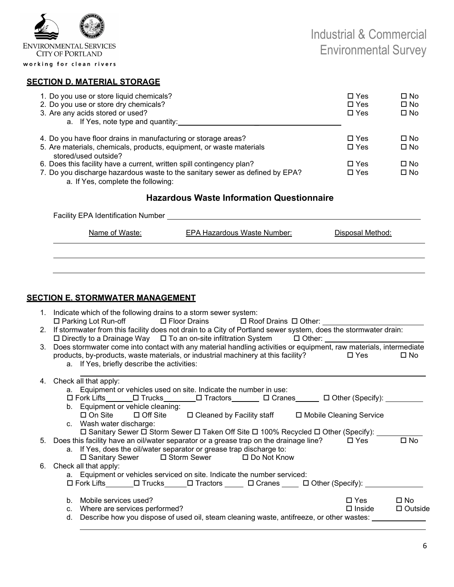

### **SECTION D. MATERIAL STORAGE**

| 1. Do you use or store liquid chemicals?<br>2. Do you use or store dry chemicals?<br>3. Are any acids stored or used?<br>a. If Yes, note type and quantity: | $\Box$ Yes<br>$\Box$ Yes<br>$\Box$ Yes | □ No<br>$\square$ No<br>□ No |
|-------------------------------------------------------------------------------------------------------------------------------------------------------------|----------------------------------------|------------------------------|
| 4. Do you have floor drains in manufacturing or storage areas?                                                                                              | $\Box$ Yes                             | □ No                         |
| 5. Are materials, chemicals, products, equipment, or waste materials<br>stored/used outside?                                                                | $\Box$ Yes                             | $\square$ No                 |
| 6. Does this facility have a current, written spill contingency plan?                                                                                       | $\Box$ Yes                             | □ No                         |
| 7. Do you discharge hazardous waste to the sanitary sewer as defined by EPA?                                                                                | $\Box$ Yes                             | $\square$ No                 |

a. If Yes, complete the following:

## **Hazardous Waste Information Questionnaire**

| <b>Facility EPA Identification Number</b> |                             |                  |  |  |  |  |  |
|-------------------------------------------|-----------------------------|------------------|--|--|--|--|--|
| Name of Waste:                            | EPA Hazardous Waste Number: | Disposal Method: |  |  |  |  |  |
|                                           |                             |                  |  |  |  |  |  |
|                                           |                             |                  |  |  |  |  |  |

## **SECTION E. STORMWATER MANAGEMENT**

- 1. Indicate which of the following drains to a storm sewer system: □ Parking Lot Run-off □ Floor Drains □ Roof Drains □ Other:
- 2. If stormwater from this facility does not drain to a City of Portland sewer system, does the stormwater drain:<br>  $\Box$  Directly to a Drainage Way  $\Box$  To an on-site infiltration System  $\Box$  Other:  $\Box$  Directly to a Drainage Way  $\Box$  To an on-site infiltration System
- 3. Does stormwater come into contact with any material handling activities or equipment, raw materials, intermediate products, by-products, waste materials, or industrial machinery at this facility?  $\Box$  Yes  $\Box$  No a. If Yes, briefly describe the activities:

## 4. Check all that apply: a. Equipment or vehicles used on site. Indicate the number in use: ロ Fork Lifts\_\_\_\_\_\_\_ロ Trucks\_\_\_\_\_\_\_\_ロ Tractors\_\_\_\_\_\_\_ ロ Cranes\_\_\_\_\_\_ ロ Other (Specify): b. Equipment or vehicle cleaning:<br> $\square$  On Site  $\square$  Off Site  $\Box$  Cleaned by Facility staff  $\Box$  Mobile Cleaning Service c. Wash water discharge:  $\square$  Sanitary Sewer  $\square$  Storm Sewer  $\square$  Taken Off Site  $\square$  100% Recycled  $\square$  Other (Specify): 5. Does this facility have an oil/water separator or a grease trap on the drainage line?  $\Box$  Yes  $\Box$  No a. If Yes, does the oil/water separator or grease trap discharge to: Sanitary Sewer Storm Sewer Do Not Know 6. Check all that apply: a. Equipment or vehicles serviced on site. Indicate the number serviced: □ Fork Lifts \_\_\_\_\_\_ □ Trucks \_\_\_\_\_ □ Tractors \_\_\_\_\_ □ Cranes \_\_\_\_ □ Other (Specify): \_\_ b. Mobile services used? Yes Not result to the service used? c. Where are services performed?  $\square$  Inside  $\square$  Outside d. Describe how you dispose of used oil, steam cleaning waste, antifreeze, or other wastes: